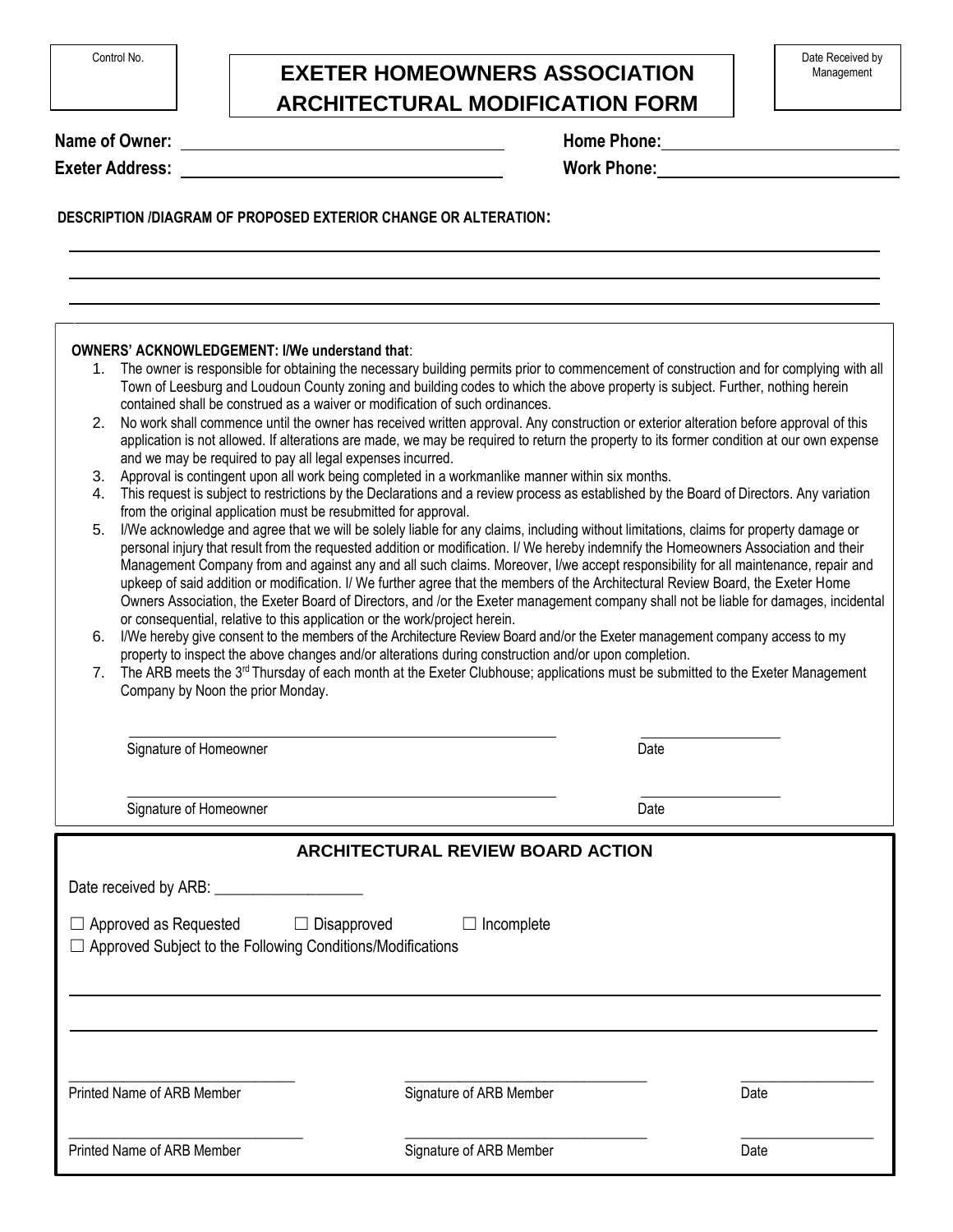## **EXETER HOMEOWNERS ASSOCIATION ARCHITECTURAL MODIFICATION FORM**

**Name of Owner:** 

**Exeter Address:** 

|  | <b>Home Phone:</b> |
|--|--------------------|
|--|--------------------|

**Work Phone:**

## **DESCRIPTION /DIAGRAM OF PROPOSED EXTERIOR CHANGE OR ALTERATION:**

- 1. The owner is responsible for obtaining the necessary building permits prior to commencement of construction and for complying with all Town of Leesburg and Loudoun County zoning and building codes to which the above property is subject. Further, nothing herein contained shall be construed as a waiver or modification of such ordinances.
- 2. No work shall commence until the owner has received written approval. Any construction or exterior alteration before approval of this application is not allowed. If alterations are made, we may be required to return the property to its former condition at our own expense and we may be required to pay all legal expenses incurred.
- 3. Approval is contingent upon all work being completed in a workmanlike manner within six months.
- 4. This request is subject to restrictions by the Declarations and a review process as established by the Board of Directors. Any variation from the original application must be resubmitted for approval.
- 5. I/We acknowledge and agree that we will be solely liable for any claims, including without limitations, claims for property damage or personal injury that result from the requested addition or modification. I/ We hereby indemnify the Homeowners Association and their Management Company from and against any and all such claims. Moreover, I/we accept responsibility for all maintenance, repair and upkeep of said addition or modification. I/ We further agree that the members of the Architectural Review Board, the Exeter Home Owners Association, the Exeter Board of Directors, and /or the Exeter management company shall not be liable for damages, incidental or consequential, relative to this application or the work/project herein.
- 6. I/We hereby give consent to the members of the Architecture Review Board and/or the Exeter management company access to my property to inspect the above changes and/or alterations during construction and/or upon completion.
- 7. The ARB meets the 3<sup>rd</sup> Thursday of each month at the Exeter Clubhouse; applications must be submitted to the Exeter Management Company by Noon the prior Monday.

| Signature of Homeowner                                                                                               |                                          | Date |      |
|----------------------------------------------------------------------------------------------------------------------|------------------------------------------|------|------|
| Signature of Homeowner                                                                                               |                                          | Date |      |
|                                                                                                                      | <b>ARCHITECTURAL REVIEW BOARD ACTION</b> |      |      |
|                                                                                                                      |                                          |      |      |
| $\Box$ Approved as Requested $\Box$ Disapproved<br>$\Box$ Approved Subject to the Following Conditions/Modifications | $\Box$ Incomplete                        |      |      |
| Printed Name of ARB Member                                                                                           | Signature of ARB Member                  |      | Date |
|                                                                                                                      |                                          |      |      |